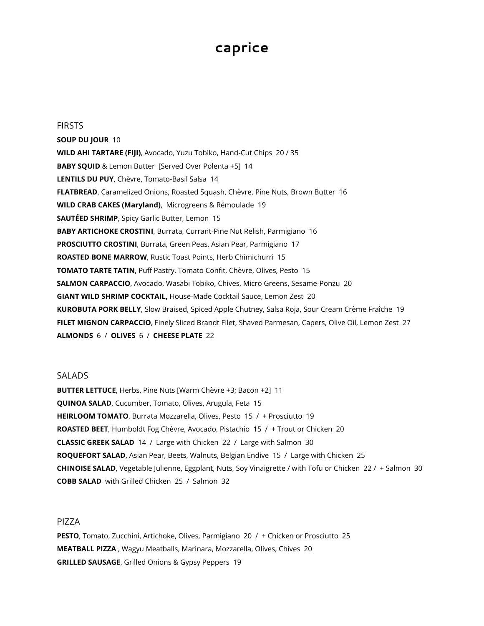# **caprice**

**FIRSTS** 

**SOUP DU JOUR** 10 **WILD AHI TARTARE (FIJI)**, Avocado, Yuzu Tobiko, Hand-Cut Chips 20 / 35 **BABY SQUID** & Lemon Butter [Served Over Polenta +5] 14 **LENTILS DU PUY**, Chèvre, Tomato-Basil Salsa 14 **FLATBREAD**, Caramelized Onions, Roasted Squash, Chèvre, Pine Nuts, Brown Butter 16 **WILD CRAB CAKES (Maryland)**, Microgreens & Rémoulade 19 **SAUTÉED SHRIMP**, Spicy Garlic Butter, Lemon 15 **BABY ARTICHOKE CROSTINI**, Burrata, Currant-Pine Nut Relish, Parmigiano 16 **PROSCIUTTO CROSTINI**, Burrata, Green Peas, Asian Pear, Parmigiano 17 **ROASTED BONE MARROW**, Rustic Toast Points, Herb Chimichurri 15 **TOMATO TARTE TATIN**, Puff Pastry, Tomato Confit, Chèvre, Olives, Pesto 15 **SALMON CARPACCIO**, Avocado, Wasabi Tobiko, Chives, Micro Greens, Sesame-Ponzu 20 **GIANT WILD SHRIMP COCKTAIL,** House-Made Cocktail Sauce, Lemon Zest 20 **KUROBUTA PORK BELLY**, Slow Braised, Spiced Apple Chutney, Salsa Roja, Sour Cream Crème Fraîche 19 **FILET MIGNON CARPACCIO**, Finely Sliced Brandt Filet, Shaved Parmesan, Capers, Olive Oil, Lemon Zest 27 **ALMONDS** 6 / **OLIVES** 6 / **CHEESE PLATE** 22

## **SALADS**

**BUTTER LETTUCE**, Herbs, Pine Nuts [Warm Chèvre +3; Bacon +2] 11 **QUINOA SALAD**, Cucumber, Tomato, Olives, Arugula, Feta 15 **HEIRLOOM TOMATO**, Burrata Mozzarella, Olives, Pesto 15 / + Prosciutto 19 **ROASTED BEET**, Humboldt Fog Chèvre, Avocado, Pistachio 15 / + Trout or Chicken 20 **CLASSIC GREEK SALAD** 14 / Large with Chicken 22 / Large with Salmon 30 **ROQUEFORT SALAD**, Asian Pear, Beets, Walnuts, Belgian Endive 15 / Large with Chicken 25 **CHINOISE SALAD**, Vegetable Julienne, Eggplant, Nuts, Soy Vinaigrette / with Tofu or Chicken 22 / + Salmon 30 **COBB SALAD** with Grilled Chicken 25 / Salmon 32

# PIZZA

**PESTO**, Tomato, Zucchini, Artichoke, Olives, Parmigiano 20 / + Chicken or Prosciutto 25 **MEATBALL PIZZA** , Wagyu Meatballs, Marinara, Mozzarella, Olives, Chives 20 **GRILLED SAUSAGE**, Grilled Onions & Gypsy Peppers 19